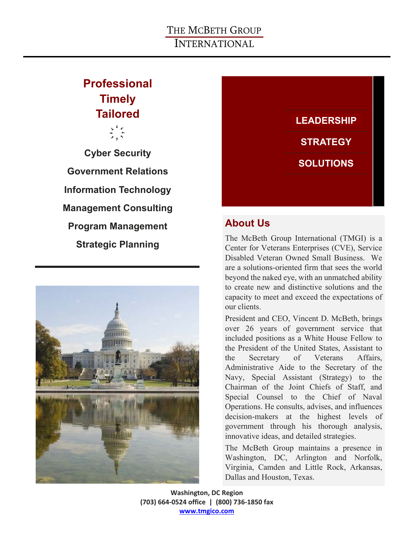# **Professional Timely Tailored**

 $\begin{array}{c}\n\sqrt{2} & \frac{1}{2} \\
\sqrt{2} & \frac{1}{2} \\
\sqrt{2} & \sqrt{2}\n\end{array}$ ҉

**Cyber Security Government Relations Information Technology Management Consulting Program Management Strategic Planning** 





# **About Us**

The McBeth Group International (TMGI) is a Center for Veterans Enterprises (CVE), Service Disabled Veteran Owned Small Business. We are a solutions-oriented firm that sees the world beyond the naked eye, with an unmatched ability to create new and distinctive solutions and the capacity to meet and exceed the expectations of our clients.

President and CEO, Vincent D. McBeth, brings over 26 years of government service that included positions as a White House Fellow to the President of the United States, Assistant to the Secretary of Veterans Affairs, Administrative Aide to the Secretary of the Navy, Special Assistant (Strategy) to the Chairman of the Joint Chiefs of Staff, and Special Counsel to the Chief of Naval Operations. He consults, advises, and influences decision-makers at the highest levels of government through his thorough analysis, innovative ideas, and detailed strategies.

The McBeth Group maintains a presence in Washington, DC, Arlington and Norfolk, Virginia, Camden and Little Rock, Arkansas, Dallas and Houston, Texas.

**Washington, DC Region (703) 664‐0524 office | (800) 736‐1850 fax www.tmgico.com**